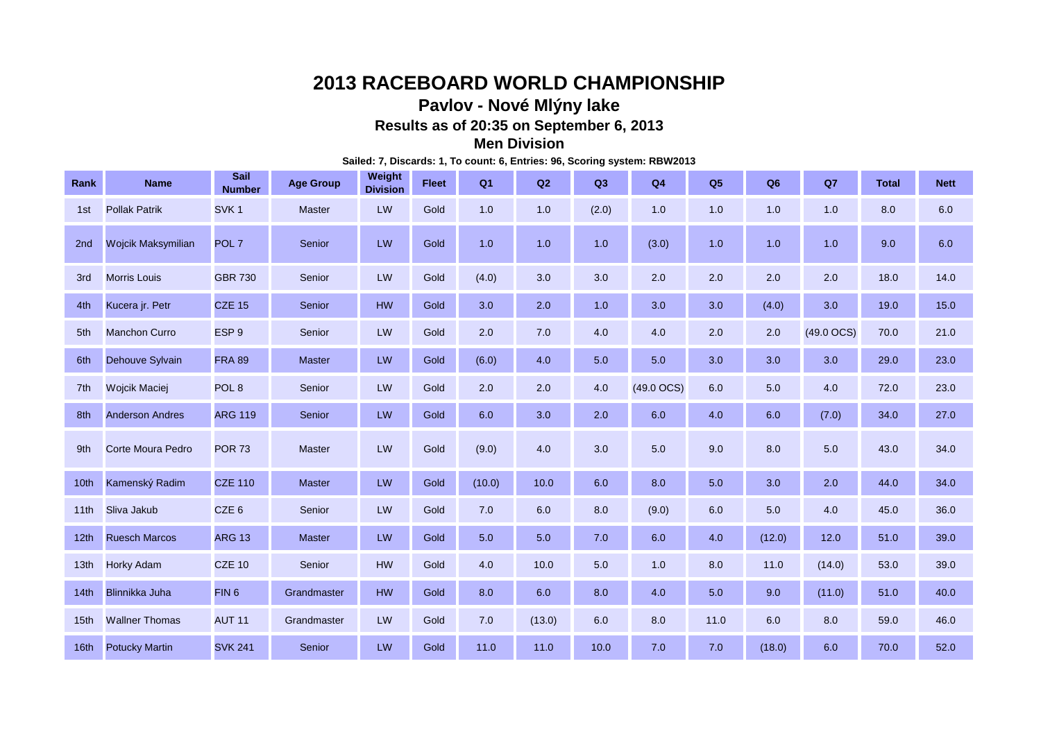# **2013 RACEBOARD WORLD CHAMPIONSHIP**

# **Pavlov - Nové Mlýny lake**

**Results as of 20:35 on September 6, 2013**

### **Men Division**

**Sailed: 7, Discards: 1, To count: 6, Entries: 96, Scoring system: RBW2013**

| Rank             | <b>Name</b>              | Sail<br><b>Number</b> | <b>Age Group</b> | Weight<br><b>Division</b> | <b>Fleet</b> | Q <sub>1</sub> | Q2     | Q3    | Q <sub>4</sub> | Q <sub>5</sub> | Q <sub>6</sub> | Q7           | <b>Total</b> | <b>Nett</b> |
|------------------|--------------------------|-----------------------|------------------|---------------------------|--------------|----------------|--------|-------|----------------|----------------|----------------|--------------|--------------|-------------|
| 1st              | <b>Pollak Patrik</b>     | SVK <sub>1</sub>      | Master           | LW                        | Gold         | 1.0            | 1.0    | (2.0) | 1.0            | 1.0            | 1.0            | 1.0          | 8.0          | 6.0         |
| 2 <sub>nd</sub>  | Wojcik Maksymilian       | POL <sub>7</sub>      | Senior           | LW                        | Gold         | 1.0            | 1.0    | 1.0   | (3.0)          | 1.0            | 1.0            | 1.0          | 9.0          | 6.0         |
| 3rd              | <b>Morris Louis</b>      | <b>GBR 730</b>        | Senior           | LW                        | Gold         | (4.0)          | 3.0    | 3.0   | 2.0            | 2.0            | 2.0            | 2.0          | 18.0         | 14.0        |
| 4th              | Kucera jr. Petr          | <b>CZE 15</b>         | Senior           | <b>HW</b>                 | Gold         | 3.0            | 2.0    | 1.0   | 3.0            | 3.0            | (4.0)          | 3.0          | 19.0         | 15.0        |
| 5th              | <b>Manchon Curro</b>     | ESP <sub>9</sub>      | Senior           | LW                        | Gold         | 2.0            | 7.0    | 4.0   | 4.0            | 2.0            | 2.0            | $(49.0$ OCS) | 70.0         | 21.0        |
| 6th              | Dehouve Sylvain          | <b>FRA 89</b>         | <b>Master</b>    | LW                        | Gold         | (6.0)          | 4.0    | 5.0   | 5.0            | 3.0            | 3.0            | 3.0          | 29.0         | 23.0        |
| 7th              | <b>Wojcik Maciej</b>     | POL <sub>8</sub>      | Senior           | LW                        | Gold         | 2.0            | 2.0    | 4.0   | (49.0 OCS)     | 6.0            | 5.0            | 4.0          | 72.0         | 23.0        |
| 8th              | <b>Anderson Andres</b>   | <b>ARG 119</b>        | Senior           | LW                        | Gold         | 6.0            | 3.0    | 2.0   | 6.0            | 4.0            | 6.0            | (7.0)        | 34.0         | 27.0        |
| 9th              | <b>Corte Moura Pedro</b> | <b>POR 73</b>         | <b>Master</b>    | LW                        | Gold         | (9.0)          | 4.0    | 3.0   | 5.0            | 9.0            | 8.0            | 5.0          | 43.0         | 34.0        |
| 10 <sub>th</sub> | Kamenský Radim           | <b>CZE 110</b>        | <b>Master</b>    | LW                        | Gold         | (10.0)         | 10.0   | 6.0   | 8.0            | 5.0            | 3.0            | 2.0          | 44.0         | 34.0        |
| 11th             | Sliva Jakub              | CZE <sub>6</sub>      | Senior           | LW                        | Gold         | 7.0            | 6.0    | 8.0   | (9.0)          | 6.0            | 5.0            | 4.0          | 45.0         | 36.0        |
| 12 <sub>th</sub> | <b>Ruesch Marcos</b>     | <b>ARG 13</b>         | <b>Master</b>    | LW                        | Gold         | 5.0            | 5.0    | 7.0   | 6.0            | 4.0            | (12.0)         | 12.0         | 51.0         | 39.0        |
| 13 <sub>th</sub> | <b>Horky Adam</b>        | <b>CZE 10</b>         | Senior           | <b>HW</b>                 | Gold         | 4.0            | 10.0   | 5.0   | 1.0            | 8.0            | 11.0           | (14.0)       | 53.0         | 39.0        |
| 14th             | <b>Blinnikka Juha</b>    | FIN <sub>6</sub>      | Grandmaster      | <b>HW</b>                 | Gold         | 8.0            | 6.0    | 8.0   | 4.0            | 5.0            | 9.0            | (11.0)       | 51.0         | 40.0        |
| 15 <sub>th</sub> | <b>Wallner Thomas</b>    | <b>AUT 11</b>         | Grandmaster      | LW                        | Gold         | 7.0            | (13.0) | 6.0   | 8.0            | 11.0           | 6.0            | 8.0          | 59.0         | 46.0        |
| 16th             | <b>Potucky Martin</b>    | <b>SVK 241</b>        | Senior           | LW                        | Gold         | 11.0           | 11.0   | 10.0  | 7.0            | 7.0            | (18.0)         | 6.0          | 70.0         | 52.0        |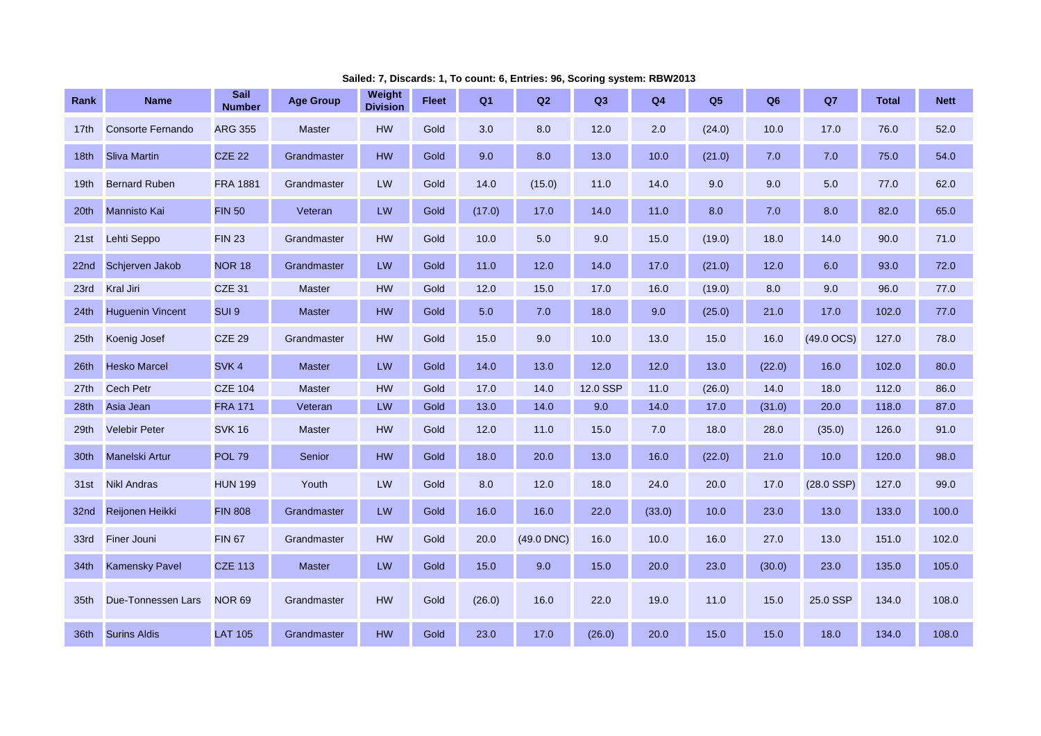| Rank             | <b>Name</b>              | Sail<br><b>Number</b> | <b>Age Group</b> | Weight<br><b>Division</b> | <b>Fleet</b> | Q1     | Q2         | Q <sub>3</sub> | Q <sub>4</sub> | Q <sub>5</sub> | Q <sub>6</sub> | Q7           | <b>Total</b> | <b>Nett</b> |
|------------------|--------------------------|-----------------------|------------------|---------------------------|--------------|--------|------------|----------------|----------------|----------------|----------------|--------------|--------------|-------------|
| 17th             | <b>Consorte Fernando</b> | <b>ARG 355</b>        | Master           | <b>HW</b>                 | Gold         | 3.0    | 8.0        | 12.0           | 2.0            | (24.0)         | 10.0           | 17.0         | 76.0         | 52.0        |
| 18th             | <b>Sliva Martin</b>      | <b>CZE 22</b>         | Grandmaster      | HW                        | Gold         | 9.0    | 8.0        | 13.0           | 10.0           | (21.0)         | 7.0            | 7.0          | 75.0         | 54.0        |
| 19 <sub>th</sub> | <b>Bernard Ruben</b>     | <b>FRA 1881</b>       | Grandmaster      | LW                        | Gold         | 14.0   | (15.0)     | 11.0           | 14.0           | 9.0            | 9.0            | 5.0          | 77.0         | 62.0        |
| 20 <sup>th</sup> | <b>Mannisto Kai</b>      | <b>FIN 50</b>         | Veteran          | LW                        | Gold         | (17.0) | 17.0       | 14.0           | 11.0           | 8.0            | 7.0            | 8.0          | 82.0         | 65.0        |
| 21st             | Lehti Seppo              | <b>FIN 23</b>         | Grandmaster      | HW                        | Gold         | 10.0   | 5.0        | 9.0            | 15.0           | (19.0)         | 18.0           | 14.0         | 90.0         | 71.0        |
| 22nd             | Schierven Jakob          | <b>NOR 18</b>         | Grandmaster      | LW                        | Gold         | 11.0   | 12.0       | 14.0           | 17.0           | (21.0)         | 12.0           | 6.0          | 93.0         | 72.0        |
| 23rd             | <b>Kral Jiri</b>         | <b>CZE 31</b>         | <b>Master</b>    | HW                        | Gold         | 12.0   | 15.0       | 17.0           | 16.0           | (19.0)         | 8.0            | 9.0          | 96.0         | 77.0        |
| 24th             | <b>Huguenin Vincent</b>  | SUI <sub>9</sub>      | <b>Master</b>    | HW                        | Gold         | 5.0    | $7.0$      | 18.0           | 9.0            | (25.0)         | 21.0           | 17.0         | 102.0        | 77.0        |
| 25 <sub>th</sub> | Koenig Josef             | <b>CZE 29</b>         | Grandmaster      | <b>HW</b>                 | Gold         | 15.0   | 9.0        | 10.0           | 13.0           | 15.0           | 16.0           | $(49.0$ OCS) | 127.0        | 78.0        |
| 26th             | <b>Hesko Marcel</b>      | SVK <sub>4</sub>      | Master           | LW                        | Gold         | 14.0   | 13.0       | 12.0           | 12.0           | 13.0           | (22.0)         | 16.0         | 102.0        | 80.0        |
| 27 <sub>th</sub> | <b>Cech Petr</b>         | <b>CZE 104</b>        | <b>Master</b>    | <b>HW</b>                 | Gold         | 17.0   | 14.0       | 12.0 SSP       | 11.0           | (26.0)         | 14.0           | 18.0         | 112.0        | 86.0        |
| 28th             | Asia Jean                | <b>FRA 171</b>        | Veteran          | LW                        | Gold         | 13.0   | 14.0       | 9.0            | 14.0           | 17.0           | (31.0)         | 20.0         | 118.0        | 87.0        |
| 29th             | <b>Velebir Peter</b>     | <b>SVK 16</b>         | <b>Master</b>    | HW                        | Gold         | 12.0   | 11.0       | 15.0           | 7.0            | 18.0           | 28.0           | (35.0)       | 126.0        | 91.0        |
| 30th             | <b>Manelski Artur</b>    | <b>POL 79</b>         | Senior           | <b>HW</b>                 | Gold         | 18.0   | 20.0       | 13.0           | 16.0           | (22.0)         | 21.0           | 10.0         | 120.0        | 98.0        |
| 31st             | <b>Nikl Andras</b>       | <b>HUN 199</b>        | Youth            | LW                        | Gold         | 8.0    | 12.0       | 18.0           | 24.0           | 20.0           | 17.0           | $(28.0$ SSP) | 127.0        | 99.0        |
| 32nd             | Reijonen Heikki          | <b>FIN 808</b>        | Grandmaster      | LW                        | Gold         | 16.0   | 16.0       | 22.0           | (33.0)         | 10.0           | 23.0           | 13.0         | 133.0        | 100.0       |
| 33rd             | Finer Jouni              | <b>FIN 67</b>         | Grandmaster      | <b>HW</b>                 | Gold         | 20.0   | (49.0 DNC) | 16.0           | 10.0           | 16.0           | 27.0           | 13.0         | 151.0        | 102.0       |
| 34th             | <b>Kamensky Pavel</b>    | <b>CZE 113</b>        | <b>Master</b>    | LW                        | Gold         | 15.0   | 9.0        | 15.0           | 20.0           | 23.0           | (30.0)         | 23.0         | 135.0        | 105.0       |
| 35th             | Due-Tonnessen Lars       | <b>NOR 69</b>         | Grandmaster      | HW                        | Gold         | (26.0) | 16.0       | 22.0           | 19.0           | 11.0           | 15.0           | 25.0 SSP     | 134.0        | 108.0       |
| 36th             | <b>Surins Aldis</b>      | <b>LAT 105</b>        | Grandmaster      | HW                        | Gold         | 23.0   | 17.0       | (26.0)         | 20.0           | 15.0           | 15.0           | 18.0         | 134.0        | 108.0       |

**Sailed: 7, Discards: 1, To count: 6, Entries: 96, Scoring system: RBW2013**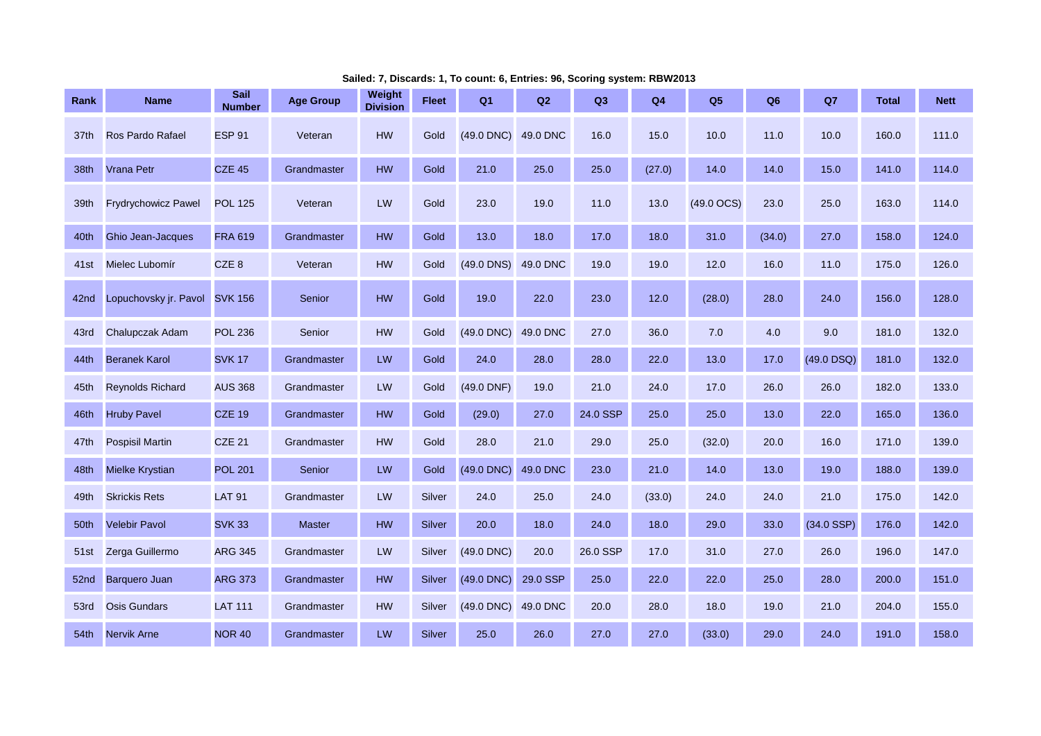| Rank | <b>Name</b>                | Sail<br>Number   | <b>Age Group</b> | Weight<br><b>Division</b> | <b>Fleet</b> | Q1           | Q2       | Q <sub>3</sub> | Q <sub>4</sub> | Q <sub>5</sub>  | Q <sub>6</sub> | Q7           | <b>Total</b> | <b>Nett</b> |
|------|----------------------------|------------------|------------------|---------------------------|--------------|--------------|----------|----------------|----------------|-----------------|----------------|--------------|--------------|-------------|
| 37th | Ros Pardo Rafael           | <b>ESP 91</b>    | Veteran          | HW                        | Gold         | (49.0 DNC)   | 49.0 DNC | 16.0           | 15.0           | 10.0            | 11.0           | 10.0         | 160.0        | 111.0       |
| 38th | <b>Vrana Petr</b>          | <b>CZE 45</b>    | Grandmaster      | <b>HW</b>                 | Gold         | 21.0         | 25.0     | 25.0           | (27.0)         | 14.0            | 14.0           | 15.0         | 141.0        | 114.0       |
| 39th | <b>Frydrychowicz Pawel</b> | <b>POL 125</b>   | Veteran          | LW                        | Gold         | 23.0         | 19.0     | 11.0           | 13.0           | $(49.0$ OCS $)$ | 23.0           | 25.0         | 163.0        | 114.0       |
| 40th | <b>Ghio Jean-Jacques</b>   | <b>FRA 619</b>   | Grandmaster      | <b>HW</b>                 | Gold         | 13.0         | 18.0     | 17.0           | 18.0           | 31.0            | (34.0)         | 27.0         | 158.0        | 124.0       |
| 41st | Mielec Lubomír             | CZE <sub>8</sub> | Veteran          | <b>HW</b>                 | Gold         | $(49.0$ DNS) | 49.0 DNC | 19.0           | 19.0           | 12.0            | 16.0           | 11.0         | 175.0        | 126.0       |
| 42nd | Lopuchovsky jr. Pavol      | <b>SVK 156</b>   | Senior           | <b>HW</b>                 | Gold         | 19.0         | 22.0     | 23.0           | 12.0           | (28.0)          | 28.0           | 24.0         | 156.0        | 128.0       |
| 43rd | Chalupczak Adam            | <b>POL 236</b>   | Senior           | <b>HW</b>                 | Gold         | (49.0 DNC)   | 49.0 DNC | 27.0           | 36.0           | 7.0             | 4.0            | 9.0          | 181.0        | 132.0       |
| 44th | <b>Beranek Karol</b>       | <b>SVK 17</b>    | Grandmaster      | LW                        | Gold         | 24.0         | 28.0     | 28.0           | 22.0           | 13.0            | 17.0           | $(49.0$ DSQ) | 181.0        | 132.0       |
| 45th | <b>Reynolds Richard</b>    | <b>AUS 368</b>   | Grandmaster      | LW                        | Gold         | (49.0 DNF)   | 19.0     | 21.0           | 24.0           | 17.0            | 26.0           | 26.0         | 182.0        | 133.0       |
| 46th | <b>Hruby Pavel</b>         | <b>CZE 19</b>    | Grandmaster      | <b>HW</b>                 | Gold         | (29.0)       | 27.0     | 24.0 SSP       | 25.0           | 25.0            | 13.0           | 22.0         | 165.0        | 136.0       |
| 47th | <b>Pospisil Martin</b>     | <b>CZE 21</b>    | Grandmaster      | HW                        | Gold         | 28.0         | 21.0     | 29.0           | 25.0           | (32.0)          | 20.0           | 16.0         | 171.0        | 139.0       |
| 48th | <b>Mielke Krystian</b>     | <b>POL 201</b>   | Senior           | LW                        | Gold         | (49.0 DNC)   | 49.0 DNC | 23.0           | 21.0           | 14.0            | 13.0           | 19.0         | 188.0        | 139.0       |
| 49th | <b>Skrickis Rets</b>       | <b>LAT 91</b>    | Grandmaster      | LW                        | Silver       | 24.0         | 25.0     | 24.0           | (33.0)         | 24.0            | 24.0           | 21.0         | 175.0        | 142.0       |
| 50th | <b>Velebir Pavol</b>       | <b>SVK 33</b>    | <b>Master</b>    | <b>HW</b>                 | Silver       | 20.0         | 18.0     | 24.0           | 18.0           | 29.0            | 33.0           | $(34.0$ SSP) | 176.0        | 142.0       |
| 51st | Zerga Guillermo            | <b>ARG 345</b>   | Grandmaster      | LW                        | Silver       | (49.0 DNC)   | 20.0     | 26.0 SSP       | 17.0           | 31.0            | 27.0           | 26.0         | 196.0        | 147.0       |
| 52nd | <b>Barquero Juan</b>       | <b>ARG 373</b>   | Grandmaster      | <b>HW</b>                 | Silver       | (49.0 DNC)   | 29.0 SSP | 25.0           | 22.0           | 22.0            | 25.0           | 28.0         | 200.0        | 151.0       |
| 53rd | <b>Osis Gundars</b>        | <b>LAT 111</b>   | Grandmaster      | <b>HW</b>                 | Silver       | (49.0 DNC)   | 49.0 DNC | 20.0           | 28.0           | 18.0            | 19.0           | 21.0         | 204.0        | 155.0       |
| 54th | <b>Nervik Arne</b>         | <b>NOR 40</b>    | Grandmaster      | LW                        | Silver       | 25.0         | 26.0     | 27.0           | 27.0           | (33.0)          | 29.0           | 24.0         | 191.0        | 158.0       |

**Sailed: 7, Discards: 1, To count: 6, Entries: 96, Scoring system: RBW2013**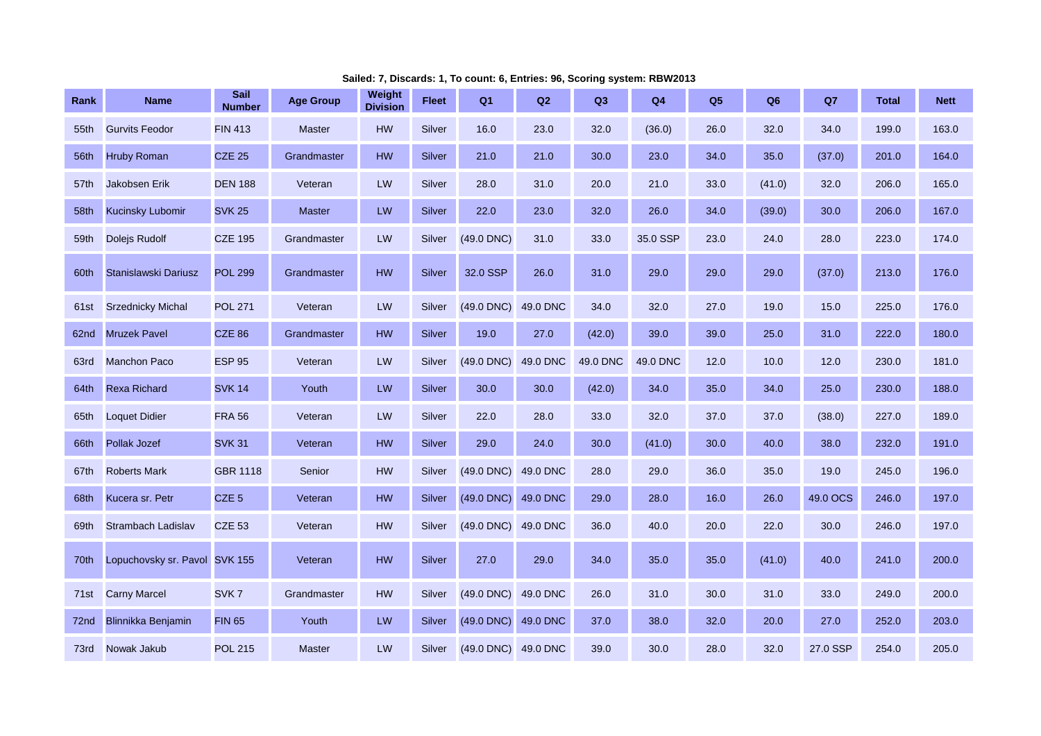| Rank | <b>Name</b>                   | <b>Sail</b><br><b>Number</b> | <b>Age Group</b> | Weight<br><b>Division</b> | <b>Fleet</b>  | Q <sub>1</sub>      | Q2       | Q3       | Q <sub>4</sub> | Q <sub>5</sub> | Q <sub>6</sub> | Q7       | <b>Total</b> | <b>Nett</b> |
|------|-------------------------------|------------------------------|------------------|---------------------------|---------------|---------------------|----------|----------|----------------|----------------|----------------|----------|--------------|-------------|
| 55th | <b>Gurvits Feodor</b>         | <b>FIN 413</b>               | <b>Master</b>    | <b>HW</b>                 | Silver        | 16.0                | 23.0     | 32.0     | (36.0)         | 26.0           | 32.0           | 34.0     | 199.0        | 163.0       |
| 56th | <b>Hruby Roman</b>            | <b>CZE 25</b>                | Grandmaster      | <b>HW</b>                 | <b>Silver</b> | 21.0                | 21.0     | 30.0     | 23.0           | 34.0           | 35.0           | (37.0)   | 201.0        | 164.0       |
| 57th | <b>Jakobsen Erik</b>          | <b>DEN 188</b>               | Veteran          | LW                        | Silver        | 28.0                | 31.0     | 20.0     | 21.0           | 33.0           | (41.0)         | 32.0     | 206.0        | 165.0       |
| 58th | <b>Kucinsky Lubomir</b>       | <b>SVK 25</b>                | <b>Master</b>    | ${\sf LW}$                | Silver        | 22.0                | 23.0     | 32.0     | 26.0           | 34.0           | (39.0)         | 30.0     | 206.0        | 167.0       |
| 59th | Dolejs Rudolf                 | <b>CZE 195</b>               | Grandmaster      | LW                        | Silver        | $(49.0$ DNC $)$     | 31.0     | 33.0     | 35.0 SSP       | 23.0           | 24.0           | 28.0     | 223.0        | 174.0       |
| 60th | Stanislawski Dariusz          | <b>POL 299</b>               | Grandmaster      | HW                        | Silver        | 32.0 SSP            | 26.0     | 31.0     | 29.0           | 29.0           | 29.0           | (37.0)   | 213.0        | 176.0       |
| 61st | <b>Srzednicky Michal</b>      | <b>POL 271</b>               | Veteran          | LW                        | Silver        | $(49.0$ DNC)        | 49.0 DNC | 34.0     | 32.0           | 27.0           | 19.0           | 15.0     | 225.0        | 176.0       |
| 62nd | <b>Mruzek Pavel</b>           | <b>CZE 86</b>                | Grandmaster      | <b>HW</b>                 | Silver        | 19.0                | 27.0     | (42.0)   | 39.0           | 39.0           | 25.0           | 31.0     | 222.0        | 180.0       |
| 63rd | <b>Manchon Paco</b>           | <b>ESP 95</b>                | Veteran          | LW                        | Silver        | $(49.0$ DNC)        | 49.0 DNC | 49.0 DNC | 49.0 DNC       | 12.0           | 10.0           | 12.0     | 230.0        | 181.0       |
| 64th | <b>Rexa Richard</b>           | <b>SVK 14</b>                | Youth            | LW                        | Silver        | 30.0                | 30.0     | (42.0)   | 34.0           | 35.0           | 34.0           | 25.0     | 230.0        | 188.0       |
| 65th | <b>Loquet Didier</b>          | <b>FRA 56</b>                | Veteran          | LW                        | Silver        | 22.0                | 28.0     | 33.0     | 32.0           | 37.0           | 37.0           | (38.0)   | 227.0        | 189.0       |
| 66th | <b>Pollak Jozef</b>           | <b>SVK 31</b>                | Veteran          | <b>HW</b>                 | Silver        | 29.0                | 24.0     | 30.0     | (41.0)         | 30.0           | 40.0           | 38.0     | 232.0        | 191.0       |
| 67th | <b>Roberts Mark</b>           | <b>GBR 1118</b>              | Senior           | <b>HW</b>                 | Silver        | $(49.0$ DNC)        | 49.0 DNC | 28.0     | 29.0           | 36.0           | 35.0           | 19.0     | 245.0        | 196.0       |
| 68th | Kucera sr. Petr               | CZE <sub>5</sub>             | Veteran          | <b>HW</b>                 | Silver        | $(49.0$ DNC)        | 49.0 DNC | 29.0     | 28.0           | 16.0           | 26.0           | 49.0 OCS | 246.0        | 197.0       |
| 69th | Strambach Ladislav            | <b>CZE 53</b>                | Veteran          | HW                        | Silver        | $(49.0$ DNC)        | 49.0 DNC | 36.0     | 40.0           | 20.0           | 22.0           | 30.0     | 246.0        | 197.0       |
| 70th | Lopuchovsky sr. Pavol SVK 155 |                              | Veteran          | <b>HW</b>                 | <b>Silver</b> | 27.0                | 29.0     | 34.0     | 35.0           | 35.0           | (41.0)         | 40.0     | 241.0        | 200.0       |
| 71st | <b>Carny Marcel</b>           | SVK <sub>7</sub>             | Grandmaster      | HW                        | Silver        | $(49.0$ DNC)        | 49.0 DNC | 26.0     | 31.0           | 30.0           | 31.0           | 33.0     | 249.0        | 200.0       |
| 72nd | Blinnikka Benjamin            | <b>FIN 65</b>                | Youth            | LW                        | Silver        | (49.0 DNC)          | 49.0 DNC | 37.0     | 38.0           | 32.0           | 20.0           | 27.0     | 252.0        | 203.0       |
| 73rd | Nowak Jakub                   | <b>POL 215</b>               | <b>Master</b>    | LW                        | Silver        | (49.0 DNC) 49.0 DNC |          | 39.0     | 30.0           | 28.0           | 32.0           | 27.0 SSP | 254.0        | 205.0       |

**Sailed: 7, Discards: 1, To count: 6, Entries: 96, Scoring system: RBW2013**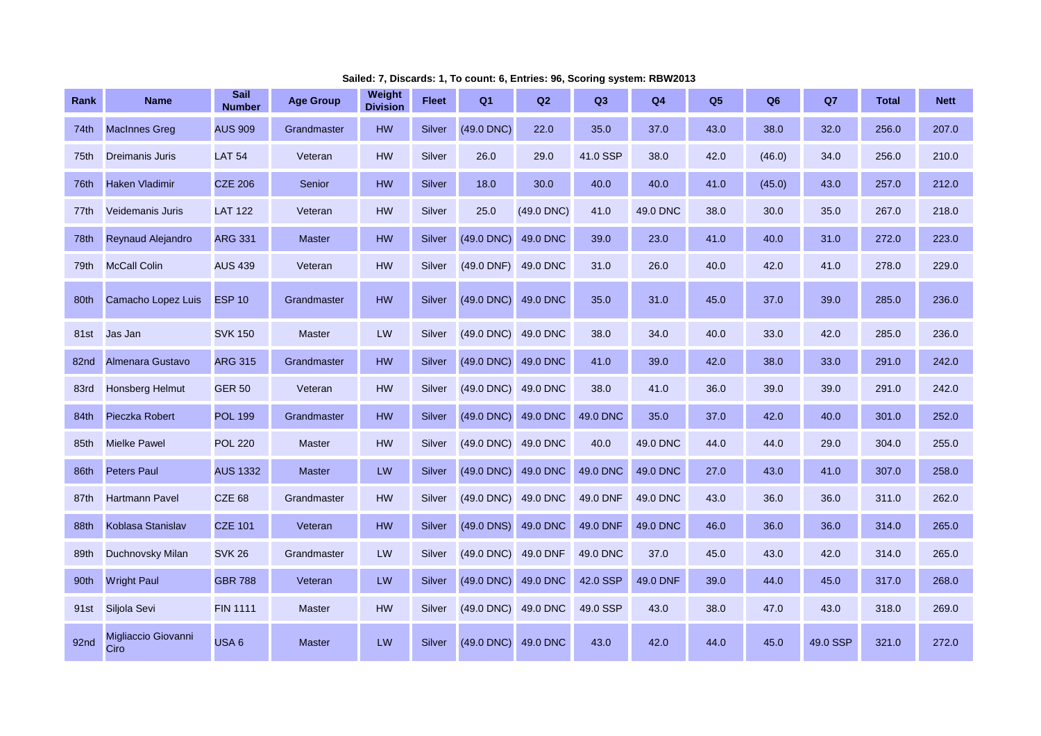| Rank             | <b>Name</b>                 | <b>Sail</b><br><b>Number</b> | <b>Age Group</b> | Weight<br><b>Division</b> | Fleet  | Q <sub>1</sub>  | Q2         | Q <sub>3</sub> | Q4       | Q <sub>5</sub> | Q <sub>6</sub> | Q7       | <b>Total</b> | <b>Nett</b> |
|------------------|-----------------------------|------------------------------|------------------|---------------------------|--------|-----------------|------------|----------------|----------|----------------|----------------|----------|--------------|-------------|
| 74th             | <b>MacInnes Greg</b>        | <b>AUS 909</b>               | Grandmaster      | <b>HW</b>                 | Silver | (49.0 DNC)      | 22.0       | 35.0           | 37.0     | 43.0           | 38.0           | 32.0     | 256.0        | 207.0       |
| 75th             | <b>Dreimanis Juris</b>      | <b>LAT 54</b>                | Veteran          | <b>HW</b>                 | Silver | 26.0            | 29.0       | 41.0 SSP       | 38.0     | 42.0           | (46.0)         | 34.0     | 256.0        | 210.0       |
| 76th             | <b>Haken Vladimir</b>       | <b>CZE 206</b>               | Senior           | HW                        | Silver | 18.0            | 30.0       | 40.0           | 40.0     | 41.0           | (45.0)         | 43.0     | 257.0        | 212.0       |
| 77th             | <b>Veidemanis Juris</b>     | <b>LAT 122</b>               | Veteran          | HW                        | Silver | 25.0            | (49.0 DNC) | 41.0           | 49.0 DNC | 38.0           | 30.0           | 35.0     | 267.0        | 218.0       |
| 78th             | Reynaud Alejandro           | <b>ARG 331</b>               | <b>Master</b>    | HW                        | Silver | (49.0 DNC)      | 49.0 DNC   | 39.0           | 23.0     | 41.0           | 40.0           | 31.0     | 272.0        | 223.0       |
| 79th             | <b>McCall Colin</b>         | <b>AUS 439</b>               | Veteran          | <b>HW</b>                 | Silver | $(49.0$ DNF)    | 49.0 DNC   | 31.0           | 26.0     | 40.0           | 42.0           | 41.0     | 278.0        | 229.0       |
| 80th             | Camacho Lopez Luis          | <b>ESP 10</b>                | Grandmaster      | HW                        | Silver | (49.0 DNC)      | 49.0 DNC   | 35.0           | 31.0     | 45.0           | 37.0           | 39.0     | 285.0        | 236.0       |
| 81st             | Jas Jan                     | <b>SVK 150</b>               | <b>Master</b>    | LW                        | Silver | (49.0 DNC)      | 49.0 DNC   | 38.0           | 34.0     | 40.0           | 33.0           | 42.0     | 285.0        | 236.0       |
| 82nd             | Almenara Gustavo            | <b>ARG 315</b>               | Grandmaster      | <b>HW</b>                 | Silver | (49.0 DNC)      | 49.0 DNC   | 41.0           | 39.0     | 42.0           | 38.0           | 33.0     | 291.0        | 242.0       |
| 83rd             | <b>Honsberg Helmut</b>      | <b>GER 50</b>                | Veteran          | HW                        | Silver | $(49.0$ DNC $)$ | 49.0 DNC   | 38.0           | 41.0     | 36.0           | 39.0           | 39.0     | 291.0        | 242.0       |
| 84th             | <b>Pieczka Robert</b>       | <b>POL 199</b>               | Grandmaster      | HW                        | Silver | (49.0 DNC)      | 49.0 DNC   | 49.0 DNC       | 35.0     | 37.0           | 42.0           | 40.0     | 301.0        | 252.0       |
| 85th             | <b>Mielke Pawel</b>         | <b>POL 220</b>               | <b>Master</b>    | <b>HW</b>                 | Silver | (49.0 DNC)      | 49.0 DNC   | 40.0           | 49.0 DNC | 44.0           | 44.0           | 29.0     | 304.0        | 255.0       |
| 86th             | <b>Peters Paul</b>          | <b>AUS 1332</b>              | <b>Master</b>    | LW                        | Silver | (49.0 DNC)      | 49.0 DNC   | 49.0 DNC       | 49.0 DNC | 27.0           | 43.0           | 41.0     | 307.0        | 258.0       |
| 87th             | <b>Hartmann Pavel</b>       | <b>CZE 68</b>                | Grandmaster      | <b>HW</b>                 | Silver | (49.0 DNC)      | 49.0 DNC   | 49.0 DNF       | 49.0 DNC | 43.0           | 36.0           | 36.0     | 311.0        | 262.0       |
| 88th             | Koblasa Stanislav           | <b>CZE 101</b>               | Veteran          | HW                        | Silver | (49.0 DNS)      | 49.0 DNC   | 49.0 DNF       | 49.0 DNC | 46.0           | 36.0           | 36.0     | 314.0        | 265.0       |
| 89th             | Duchnovsky Milan            | <b>SVK 26</b>                | Grandmaster      | LW                        | Silver | (49.0 DNC)      | 49.0 DNF   | 49.0 DNC       | 37.0     | 45.0           | 43.0           | 42.0     | 314.0        | 265.0       |
| 90th             | <b>Wright Paul</b>          | <b>GBR 788</b>               | Veteran          | LW                        | Silver | (49.0 DNC)      | 49.0 DNC   | 42.0 SSP       | 49.0 DNF | 39.0           | 44.0           | 45.0     | 317.0        | 268.0       |
| 91 <sub>st</sub> | Siljola Sevi                | <b>FIN 1111</b>              | <b>Master</b>    | <b>HW</b>                 | Silver | $(49.0$ DNC)    | 49.0 DNC   | 49.0 SSP       | 43.0     | 38.0           | 47.0           | 43.0     | 318.0        | 269.0       |
| 92nd             | Migliaccio Giovanni<br>Ciro | USA <sub>6</sub>             | <b>Master</b>    | LW                        | Silver | $(49.0$ DNC)    | 49.0 DNC   | 43.0           | 42.0     | 44.0           | 45.0           | 49.0 SSP | 321.0        | 272.0       |

**Sailed: 7, Discards: 1, To count: 6, Entries: 96, Scoring system: RBW2013**